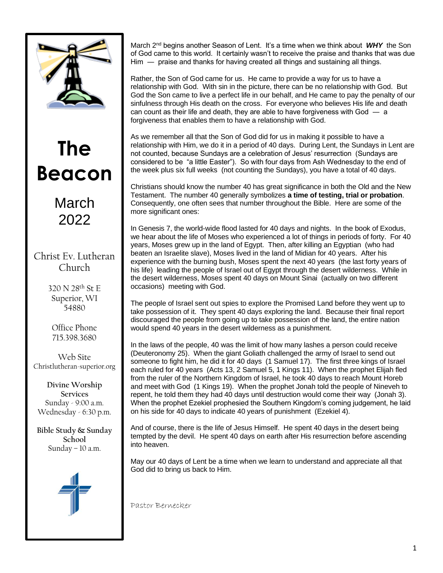

# **The Beacon**

March 2022

Christ Ev. Lutheran Church

> 320 N 28th St E Superior, WI 54880

Office Phone 715.398.3680

Web Site Christlutheran-superior.org

**Divine Worship Services** Sunday - 9:00 a.m. Wednesday - 6:30 p.m.

**Bible Study & Sunday School** Sunday – 10 a.m.



March 2nd begins another Season of Lent. It's a time when we think about *WHY* the Son of God came to this world. It certainly wasn't to receive the praise and thanks that was due Him ― praise and thanks for having created all things and sustaining all things.

Rather, the Son of God came for us. He came to provide a way for us to have a relationship with God. With sin in the picture, there can be no relationship with God. But God the Son came to live a perfect life in our behalf, and He came to pay the penalty of our sinfulness through His death on the cross. For everyone who believes His life and death can count as their life and death, they are able to have forgiveness with God  $-$  a forgiveness that enables them to have a relationship with God.

As we remember all that the Son of God did for us in making it possible to have a relationship with Him, we do it in a period of 40 days. During Lent, the Sundays in Lent are not counted, because Sundays are a celebration of Jesus' resurrection (Sundays are considered to be "a little Easter"). So with four days from Ash Wednesday to the end of the week plus six full weeks (not counting the Sundays), you have a total of 40 days.

Christians should know the number 40 has great significance in both the Old and the New Testament. The number 40 generally symbolizes **a time of testing, trial or probation**. Consequently, one often sees that number throughout the Bible. Here are some of the more significant ones:

In Genesis 7, the world-wide flood lasted for 40 days and nights. In the book of Exodus, we hear about the life of Moses who experienced a lot of things in periods of forty. For 40 years, Moses grew up in the land of Egypt. Then, after killing an Egyptian (who had beaten an Israelite slave), Moses lived in the land of Midian for 40 years. After his experience with the burning bush, Moses spent the next 40 years (the last forty years of his life) leading the people of Israel out of Egypt through the desert wilderness. While in the desert wilderness, Moses spent 40 days on Mount Sinai (actually on two different occasions) meeting with God.

The people of Israel sent out spies to explore the Promised Land before they went up to take possession of it. They spent 40 days exploring the land. Because their final report discouraged the people from going up to take possession of the land, the entire nation would spend 40 years in the desert wilderness as a punishment.

In the laws of the people, 40 was the limit of how many lashes a person could receive (Deuteronomy 25). When the giant Goliath challenged the army of Israel to send out someone to fight him, he did it for 40 days (1 Samuel 17). The first three kings of Israel each ruled for 40 years (Acts 13, 2 Samuel 5, 1 Kings 11). When the prophet Elijah fled from the ruler of the Northern Kingdom of Israel, he took 40 days to reach Mount Horeb and meet with God (1 Kings 19). When the prophet Jonah told the people of Nineveh to repent, he told them they had 40 days until destruction would come their way (Jonah 3). When the prophet Ezekiel prophesied the Southern Kingdom's coming judgement, he laid on his side for 40 days to indicate 40 years of punishment (Ezekiel 4).

And of course, there is the life of Jesus Himself. He spent 40 days in the desert being tempted by the devil. He spent 40 days on earth after His resurrection before ascending into heaven.

May our 40 days of Lent be a time when we learn to understand and appreciate all that God did to bring us back to Him.

Pastor Bernecker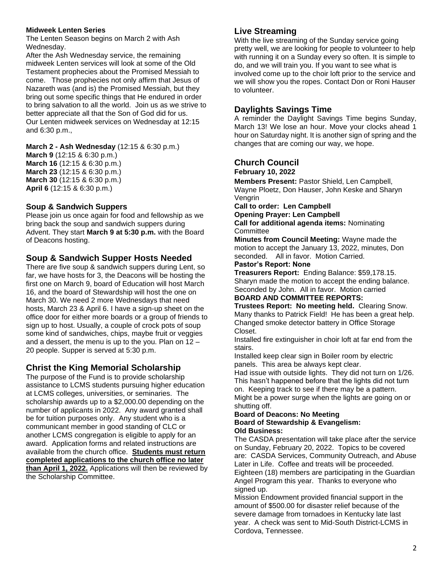#### **Midweek Lenten Series**

The Lenten Season begins on March 2 with Ash Wednesday.

After the Ash Wednesday service, the remaining midweek Lenten services will look at some of the Old Testament prophecies about the Promised Messiah to come. Those prophecies not only affirm that Jesus of Nazareth was (and is) the Promised Messiah, but they bring out some specific things that He endured in order to bring salvation to all the world. Join us as we strive to better appreciate all that the Son of God did for us. Our Lenten midweek services on Wednesday at 12:15 and 6:30 p.m.,

**March 2 - Ash Wednesday** (12:15 & 6:30 p.m.)

**March 9** (12:15 & 6:30 p.m.) **March 16** (12:15 & 6:30 p.m.) **March 23** (12:15 & 6:30 p.m.) **March 30** (12:15 & 6:30 p.m.) **April 6** (12:15 & 6:30 p.m.)

# **Soup & Sandwich Suppers**

Please join us once again for food and fellowship as we bring back the soup and sandwich suppers during Advent. They start **March 9 at 5:30 p.m.** with the Board of Deacons hosting.

# **Soup & Sandwich Supper Hosts Needed**

There are five soup & sandwich suppers during Lent, so far, we have hosts for 3, the Deacons will be hosting the first one on March 9, board of Education will host March 16, and the board of Stewardship will host the one on March 30. We need 2 more Wednesdays that need hosts, March 23 & April 6. I have a sign-up sheet on the office door for either more boards or a group of friends to sign up to host. Usually, a couple of crock pots of soup some kind of sandwiches, chips, maybe fruit or veggies and a dessert, the menu is up to the you. Plan on 12 – 20 people. Supper is served at 5:30 p.m.

# **Christ the King Memorial Scholarship**

The purpose of the Fund is to provide scholarship assistance to LCMS students pursuing higher education at LCMS colleges, universities, or seminaries. The scholarship awards up to a \$2,000.00 depending on the number of applicants in 2022. Any award granted shall be for tuition purposes only. Any student who is a communicant member in good standing of CLC or another LCMS congregation is eligible to apply for an award. Application forms and related instructions are available from the church office. **Students must return completed applications to the church office no later than April 1, 2022.** Applications will then be reviewed by the Scholarship Committee.

# **Live Streaming**

With the live streaming of the Sunday service going pretty well, we are looking for people to volunteer to help with running it on a Sunday every so often. It is simple to do, and we will train you. If you want to see what is involved come up to the choir loft prior to the service and we will show you the ropes. Contact Don or Roni Hauser to volunteer.

# **Daylights Savings Time**

A reminder the Daylight Savings Time begins Sunday, March 13! We lose an hour. Move your clocks ahead 1 hour on Saturday night. It is another sign of spring and the changes that are coming our way, we hope.

# **Church Council**

**February 10, 2022**

**Members Present:** Pastor Shield, Len Campbell, Wayne Ploetz, Don Hauser, John Keske and Sharyn Vengrin

**Call to order: Len Campbell Opening Prayer: Len Campbell**

**Call for additional agenda items:** Nominating **Committee** 

**Minutes from Council Meeting:** Wayne made the motion to accept the January 13, 2022, minutes, Don seconded. All in favor. Motion Carried.

#### **Pastor's Report: None**

**Treasurers Report:** Ending Balance: \$59,178.15. Sharyn made the motion to accept the ending balance. Seconded by John. All in favor. Motion carried

# **BOARD AND COMMITTEE REPORTS:**

**Trustees Report: No meeting held.** Clearing Snow. Many thanks to Patrick Field! He has been a great help. Changed smoke detector battery in Office Storage Closet.

Installed fire extinguisher in choir loft at far end from the stairs.

Installed keep clear sign in Boiler room by electric panels. This area be always kept clear.

Had issue with outside lights. They did not turn on 1/26. This hasn't happened before that the lights did not turn on. Keeping track to see if there may be a pattern.

Might be a power surge when the lights are going on or shutting off.

#### **Board of Deacons: No Meeting Board of Stewardship & Evangelism: Old Business:**

The CASDA presentation will take place after the service on Sunday, February 20, 2022. Topics to be covered are: CASDA Services, Community Outreach, and Abuse Later in Life. Coffee and treats will be proceeded. Eighteen (18) members are participating in the Guardian Angel Program this year. Thanks to everyone who signed up.

Mission Endowment provided financial support in the amount of \$500.00 for disaster relief because of the severe damage from tornadoes in Kentucky late last year. A check was sent to Mid-South District-LCMS in Cordova, Tennessee.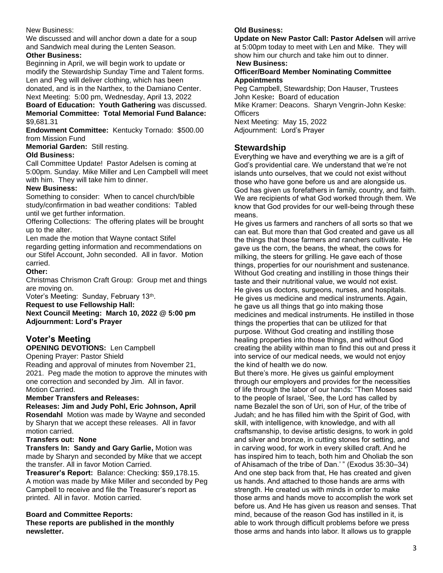#### New Business:

We discussed and will anchor down a date for a soup and Sandwich meal during the Lenten Season. **Other Business:**

Beginning in April, we will begin work to update or modify the Stewardship Sunday Time and Talent forms. Len and Peg will deliver clothing, which has been donated, and is in the Narthex, to the Damiano Center. Next Meeting: 5:00 pm, Wednesday, April 13, 2022

**Board of Education: Youth Gathering** was discussed. **Memorial Committee: Total Memorial Fund Balance:**  \$9,681.31

**Endowment Committee:** Kentucky Tornado: \$500.00 from Mission Fund

**Memorial Garden:** Still resting.

#### **Old Business:**

Call Committee Update! Pastor Adelsen is coming at 5:00pm. Sunday. Mike Miller and Len Campbell will meet with him. They will take him to dinner.

#### **New Business:**

Something to consider: When to cancel church/bible study/confirmation in bad weather conditions: Tabled until we get further information.

Offering Collections: The offering plates will be brought up to the alter.

Len made the motion that Wayne contact Stifel regarding getting information and recommendations on our Stifel Account, John seconded. All in favor. Motion carried.

#### **Other:**

Christmas Chrismon Craft Group: Group met and things are moving on.

Voter's Meeting: Sunday, February 13<sup>th</sup>.

**Request to use Fellowship Hall:** 

**Next Council Meeting: March 10, 2022 @ 5:00 pm Adjournment: Lord's Prayer**

# **Voter's Meeting**

#### **OPENING DEVOTIONS:** Len Campbell

Opening Prayer: Pastor Shield

Reading and approval of minutes from November 21, 2021. Peg made the motion to approve the minutes with one correction and seconded by Jim. All in favor. Motion Carried.

#### **Member Transfers and Releases:**

**Releases: Jim and Judy Pohl, Eric Johnson, April Rosendahl** Motion was made by Wayne and seconded by Sharyn that we accept these releases. All in favor motion carried.

#### **Transfers out: None**

**Transfers In: Sandy and Gary Garlie,** Motion was made by Sharyn and seconded by Mike that we accept the transfer. All in favor Motion Carried.

**Treasurer's Report:** Balance: Checking: \$59,178.15. A motion was made by Mike Miller and seconded by Peg Campbell to receive and file the Treasurer's report as printed. All in favor. Motion carried.

#### **Board and Committee Reports: These reports are published in the monthly newsletter.**

#### **Old Business:**

**Update on New Pastor Call: Pastor Adelsen** will arrive at 5:00pm today to meet with Len and Mike. They will show him our church and take him out to dinner.

### **New Business:**

#### **Officer/Board Member Nominating Committee Appointments**

Peg Campbell, Stewardship; Don Hauser, Trustees John Keske**:** Board of education Mike Kramer: Deacons. Sharyn Vengrin-John Keske: **Officers** Next Meeting: May 15, 2022 Adjournment: Lord's Prayer

## **Stewardship**

Everything we have and everything we are is a gift of God's providential care. We understand that we're not islands unto ourselves, that we could not exist without those who have gone before us and are alongside us. God has given us forefathers in family, country, and faith. We are recipients of what God worked through them. We know that God provides for our well-being through these means.

He gives us farmers and ranchers of all sorts so that we can eat. But more than that God created and gave us all the things that those farmers and ranchers cultivate. He gave us the corn, the beans, the wheat, the cows for milking, the steers for grilling. He gave each of those things, properties for our nourishment and sustenance. Without God creating and instilling in those things their taste and their nutritional value, we would not exist. He gives us doctors, surgeons, nurses, and hospitals. He gives us medicine and medical instruments. Again, he gave us all things that go into making those medicines and medical instruments. He instilled in those things the properties that can be utilized for that purpose. Without God creating and instilling those healing properties into those things, and without God creating the ability within man to find this out and press it into service of our medical needs, we would not enjoy the kind of health we do now.

But there's more. He gives us gainful employment through our employers and provides for the necessities of life through the labor of our hands: "Then Moses said to the people of Israel, 'See, the Lord has called by name Bezalel the son of Uri, son of Hur, of the tribe of Judah; and he has filled him with the Spirit of God, with skill, with intelligence, with knowledge, and with all craftsmanship, to devise artistic designs, to work in gold and silver and bronze, in cutting stones for setting, and in carving wood, for work in every skilled craft. And he has inspired him to teach, both him and Oholiab the son of Ahisamach of the tribe of Dan.' " (Exodus 35:30–34) And one step back from that, He has created and given us hands. And attached to those hands are arms with strength. He created us with minds in order to make those arms and hands move to accomplish the work set before us. And He has given us reason and senses. That mind, because of the reason God has instilled in it, is able to work through difficult problems before we press those arms and hands into labor. It allows us to grapple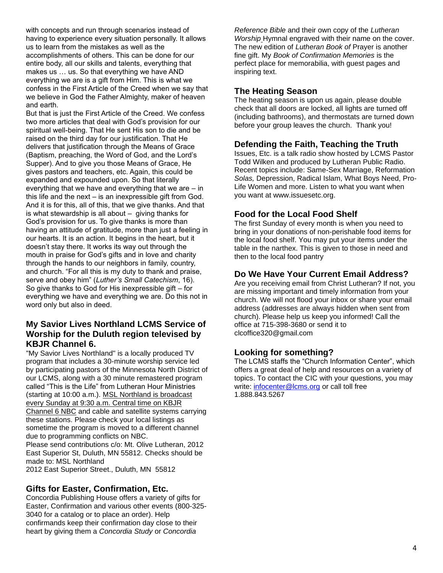with concepts and run through scenarios instead of having to experience every situation personally. It allows us to learn from the mistakes as well as the accomplishments of others. This can be done for our entire body, all our skills and talents, everything that makes us … us. So that everything we have AND everything we are is a gift from Him. This is what we confess in the First Article of the Creed when we say that we believe in God the Father Almighty, maker of heaven and earth.

But that is just the First Article of the Creed. We confess two more articles that deal with God's provision for our spiritual well-being. That He sent His son to die and be raised on the third day for our justification. That He delivers that justification through the Means of Grace (Baptism, preaching, the Word of God, and the Lord's Supper). And to give you those Means of Grace, He gives pastors and teachers, etc. Again, this could be expanded and expounded upon. So that literally everything that we have and everything that we are – in this life and the next – is an inexpressible gift from God. And it is for this, all of this, that we give thanks. And that is what stewardship is all about  $-$  giving thanks for God's provision for us. To give thanks is more than having an attitude of gratitude, more than just a feeling in our hearts. It is an action. It begins in the heart, but it doesn't stay there. It works its way out through the mouth in praise for God's gifts and in love and charity through the hands to our neighbors in family, country, and church. "For all this is my duty to thank and praise, serve and obey him" (*Luther's Small Catechism*, 16). So give thanks to God for His inexpressible gift – for everything we have and everything we are. Do this not in word only but also in deed.

## **My Savior Lives Northland LCMS Service of Worship for the Duluth region televised by KBJR Channel 6.**

"My Savior Lives Northland" is a locally produced TV program that includes a 30-minute worship service led by participating pastors of the Minnesota North District of our LCMS, along with a 30 minute remastered program called "This is the Life" from Lutheran Hour Ministries (starting at 10:00 a.m.). MSL Northland is broadcast every Sunday at 9:30 a.m. Central time on KBJR Channel 6 NBC and cable and satellite systems carrying these stations. Please check your local listings as sometime the program is moved to a different channel due to programming conflicts on NBC. Please send contributions c/o: Mt. Olive Lutheran, 2012 East Superior St, Duluth, MN 55812. Checks should be made to: MSL Northland 2012 East Superior Street., Duluth, MN 55812

# **Gifts for Easter, Confirmation, Etc.**

Concordia Publishing House offers a variety of gifts for Easter, Confirmation and various other events (800-325- 3040 for a catalog or to place an order). Help confirmands keep their confirmation day close to their heart by giving them a *Concordia Study* or *Concordia* 

*Reference Bible* and their own copy of the *Lutheran Worship* Hymnal engraved with their name on the cover. The new edition of *Lutheran Book of* Prayer is another fine gift. My *Book of Confirmation Memories* is the perfect place for memorabilia, with guest pages and inspiring text.

## **The Heating Season**

The heating season is upon us again, please double check that all doors are locked, all lights are turned off (including bathrooms), and thermostats are turned down before your group leaves the church. Thank you!

## **Defending the Faith, Teaching the Truth**

Issues, Etc. is a talk radio show hosted by LCMS Pastor Todd Wilken and produced by Lutheran Public Radio. Recent topics include: Same-Sex Marriage, Reformation *Solas,* Depression, Radical Islam, What Boys Need, Pro-Life Women and more. Listen to what you want when you want at www.issuesetc.org.

# **Food for the Local Food Shelf**

The first Sunday of every month is when you need to bring in your donations of non-perishable food items for the local food shelf. You may put your items under the table in the narthex. This is given to those in need and then to the local food pantry

## **Do We Have Your Current Email Address?**

Are you receiving email from Christ Lutheran? If not, you are missing important and timely information from your church. We will not flood your inbox or share your email address (addresses are always hidden when sent from church). Please help us keep you informed! Call the office at 715-398-3680 or send it to clcoffice320@gmail.com

# **Looking for something?**

The LCMS staffs the "Church Information Center", which offers a great deal of help and resources on a variety of topics. To contact the CIC with your questions, you may write: [infocenter@lcms.org](mailto:infocenter@lcms.org) or call toll free 1.888.843.5267